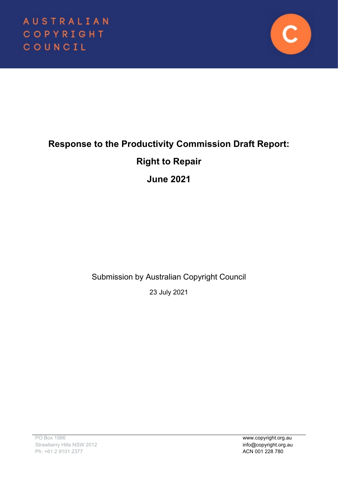

# **Response to the Productivity Commission Draft Report:**

# **Right to Repair**

# **June 2021**

Submission by Australian Copyright Council

23 July 2021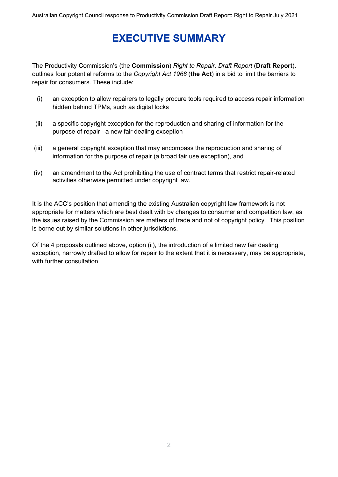# **EXECUTIVE SUMMARY**

The Productivity Commission's (the **Commission**) *Right to Repair, Draft Report* (**Draft Report**). outlines four potential reforms to the *Copyright Act 1968* (**the Act**) in a bid to limit the barriers to repair for consumers. These include:

- (i) an exception to allow repairers to legally procure tools required to access repair information hidden behind TPMs, such as digital locks
- (ii) a specific copyright exception for the reproduction and sharing of information for the purpose of repair - a new fair dealing exception
- (iii) a general copyright exception that may encompass the reproduction and sharing of information for the purpose of repair (a broad fair use exception), and
- (iv) an amendment to the Act prohibiting the use of contract terms that restrict repair-related activities otherwise permitted under copyright law.

It is the ACC's position that amending the existing Australian copyright law framework is not appropriate for matters which are best dealt with by changes to consumer and competition law, as the issues raised by the Commission are matters of trade and not of copyright policy. This position is borne out by similar solutions in other jurisdictions.

Of the 4 proposals outlined above, option (ii), the introduction of a limited new fair dealing exception, narrowly drafted to allow for repair to the extent that it is necessary, may be appropriate, with further consultation.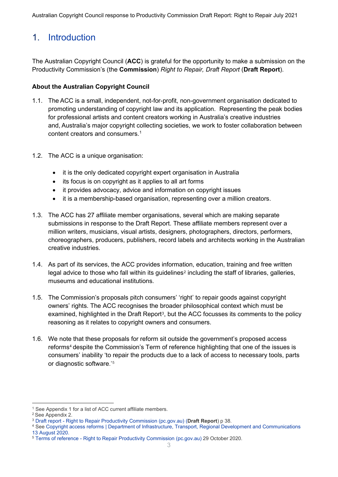## 1. Introduction

The Australian Copyright Council (**ACC**) is grateful for the opportunity to make a submission on the Productivity Commission's (the **Commission**) *Right to Repair, Draft Report* (**Draft Report**).

#### **About the Australian Copyright Council**

- 1.1. The ACC is a small, independent, not-for-profit, non-government organisation dedicated to promoting understanding of copyright law and its application. Representing the peak bodies for professional artists and content creators working in Australia's creative industries and, Australia's major copyright collecting societies, we work to foster collaboration between content creators and consumers. [1](#page-2-0)
- 1.2. The ACC is a unique organisation:
	- it is the only dedicated copyright expert organisation in Australia
	- its focus is on copyright as it applies to all art forms
	- it provides advocacy, advice and information on copyright issues
	- it is a membership-based organisation, representing over a million creators.
- 1.3. The ACC has 27 affiliate member organisations, several which are making separate submissions in response to the Draft Report. These affiliate members represent over a million writers, musicians, visual artists, designers, photographers, directors, performers, choreographers, producers, publishers, record labels and architects working in the Australian creative industries.
- 1.4. As part of its services, the ACC provides information, education, training and free written legal advice to those who fall within its guidelines<sup>[2](#page-2-1)</sup> including the staff of libraries, galleries, museums and educational institutions.
- 1.5. The Commission's proposals pitch consumers' 'right' to repair goods against copyright owners' rights. The ACC recognises the broader philosophical context which must be examined, highlighted in the Draft Report[3,](#page-2-2) but the ACC focusses its comments to the policy reasoning as it relates to copyright owners and consumers.
- 1.6. We note that these proposals for reform sit outside the government's proposed access reforms<sup>[4](#page-2-3)</sup> despite the Commission's Term of reference highlighting that one of the issues is consumers' inability 'to repair the products due to a lack of access to necessary tools, parts or diagnostic software.'[5](#page-2-4)

 $1$  See Appendix 1 for a list of ACC current affiliate members.

<span id="page-2-1"></span><span id="page-2-0"></span><sup>2</sup> See Appendix 2.

<span id="page-2-2"></span><sup>3</sup> Draft report - Right to Repair Productivity Commission (pc.gov.au) (**Draft Report**) p 38.

<span id="page-2-3"></span><sup>4</sup> See Copyright access reforms | Department of Infrastructure, Transport, Regional Development and Communications 13 August 2020.

<span id="page-2-4"></span><sup>5</sup> Terms of reference - Right to Repair Productivity Commission (pc.gov.au) 29 October 2020.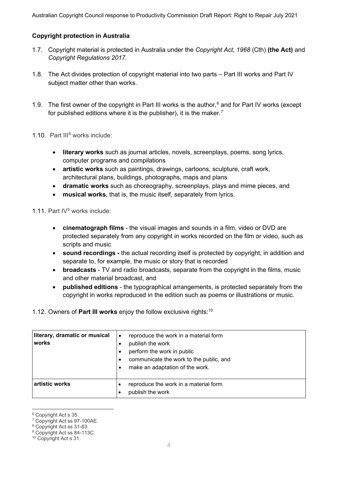#### **Copyright protection in Australia**

- 1.7. Copyright material is protected in Australia under the *Copyright Act, 1968* (Cth) **(the Act)** and *Copyright Regulations 2017.*
- 1.8. The Act divides protection of copyright material into two parts Part III works and Part IV subject matter other than works.
- 1.9. The first owner of the copyright in Part III works is the author, $6$  and for Part IV works (except for published editions where it is the publisher), it is the maker.<sup>[7](#page-3-1)</sup>
- 1.10. Part III[8](#page-3-2) works include:
	- **literary works** such as journal articles, novels, screenplays, poems, song lyrics, computer programs and compilations
	- **artistic works** such as paintings, drawings, cartoons, sculpture, craft work, architectural plans, buildings, photographs, maps and plans
	- **dramatic works** such as choreography, screenplays, plays and mime pieces, and
	- **musical works**, that is, the music itself, separately from lyrics.

1.11. Part IV<sup>[9](#page-3-3)</sup> works include:

- **cinematograph films** the visual images and sounds in a film, video or DVD are protected separately from any copyright in works recorded on the film or video, such as scripts and music
- **sound recordings -** the actual recording itself is protected by copyright, in addition and separate to, for example, the music or story that is recorded
- **broadcasts** TV and radio broadcasts, separate from the copyright in the films, music and other material broadcast, and
- **published editions** the typographical arrangements, is protected separately from the copyright in works reproduced in the edition such as poems or illustrations or music.

1.12. Owners of **Part III works** enjoy the follow exclusive rights:[10](#page-3-4)

| literary, dramatic or musical<br>works | reproduce the work in a material form<br>$\bullet$<br>publish the work<br>perform the work in public<br>communicate the work to the public, and<br>make an adaptation of the work. |
|----------------------------------------|------------------------------------------------------------------------------------------------------------------------------------------------------------------------------------|
| artistic works                         | reproduce the work in a material form<br>publish the work                                                                                                                          |

<span id="page-3-1"></span><span id="page-3-0"></span> $6$  Copyright Act s 35.<br>
<sup>7</sup> Copyright Act ss 97-100AE.

<span id="page-3-2"></span><sup>&</sup>lt;sup>8</sup> Copyright Act ss 31-83.

<span id="page-3-3"></span><sup>9</sup> Copyright Act ss 84-113C.

<span id="page-3-4"></span><sup>10</sup> Copyright Act s 31.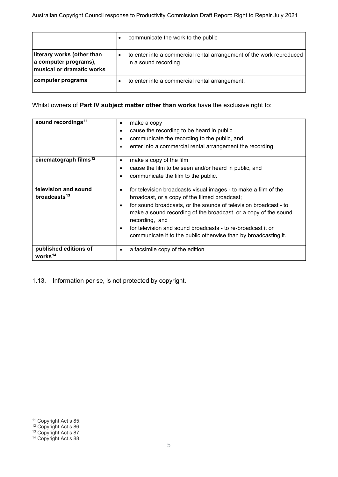|                                                                                  | communicate the work to the public                                                           |
|----------------------------------------------------------------------------------|----------------------------------------------------------------------------------------------|
| literary works (other than<br>a computer programs),<br>musical or dramatic works | to enter into a commercial rental arrangement of the work reproduced<br>in a sound recording |
| computer programs                                                                | to enter into a commercial rental arrangement.                                               |

#### Whilst owners of **Part IV subject matter other than works** have the exclusive right to:

| sound recordings <sup>11</sup>               | make a copy<br>$\bullet$                                                          |  |  |
|----------------------------------------------|-----------------------------------------------------------------------------------|--|--|
|                                              | cause the recording to be heard in public<br>$\bullet$                            |  |  |
|                                              | communicate the recording to the public, and<br>$\bullet$                         |  |  |
|                                              | enter into a commercial rental arrangement the recording<br>$\bullet$             |  |  |
| cinematograph films <sup>12</sup>            | make a copy of the film<br>$\bullet$                                              |  |  |
|                                              | cause the film to be seen and/or heard in public, and<br>$\bullet$                |  |  |
|                                              | communicate the film to the public.<br>$\bullet$                                  |  |  |
| television and sound                         | for television broadcasts visual images - to make a film of the<br>$\bullet$      |  |  |
| broadcasts <sup>13</sup>                     | broadcast, or a copy of the filmed broadcast;                                     |  |  |
|                                              | for sound broadcasts, or the sounds of television broadcast - to<br>$\bullet$     |  |  |
|                                              | make a sound recording of the broadcast, or a copy of the sound<br>recording, and |  |  |
|                                              | for television and sound broadcasts - to re-broadcast it or<br>$\bullet$          |  |  |
|                                              | communicate it to the public otherwise than by broadcasting it.                   |  |  |
| published editions of<br>works <sup>14</sup> | a facsimile copy of the edition<br>$\bullet$                                      |  |  |

1.13. Information per se, is not protected by copyright.

<span id="page-4-0"></span><sup>&</sup>lt;sup>11</sup> Copyright Act s 85.

<span id="page-4-1"></span><sup>&</sup>lt;sup>12</sup> Copyright Act s 86.

<span id="page-4-2"></span><sup>&</sup>lt;sup>13</sup> Copyright Act s 87.

<span id="page-4-3"></span><sup>&</sup>lt;sup>14</sup> Copyright Act s 88.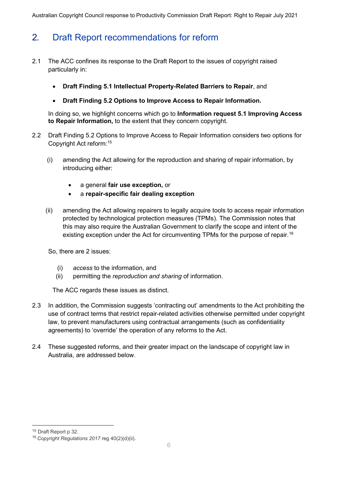Australian Copyright Council response to Productivity Commission Draft Report: Right to Repair July 2021

# 2**.** Draft Report recommendations for reform

- 2.1 The ACC confines its response to the Draft Report to the issues of copyright raised particularly in:
	- **Draft Finding 5.1 Intellectual Property-Related Barriers to Repair**, and
	- **Draft Finding 5.2 Options to Improve Access to Repair Information.**

In doing so, we highlight concerns which go to **Information request 5.1 Improving Access to Repair Information,** to the extent that they concern copyright.

- 2.2 Draft Finding 5.2 Options to Improve Access to Repair Information considers two options for Copyright Act reform: [15](#page-5-0)
	- (i) amending the Act allowing for the reproduction and sharing of repair information, by introducing either:
		- a general **fair use exception,** or
		- a **repair-specific fair dealing exception**
	- (ii) amending the Act allowing repairers to legally acquire tools to access repair information protected by technological protection measures (TPMs). The Commission notes that this may also require the Australian Government to clarify the scope and intent of the existing exception under the Act for circumventing TPMs for the purpose of repair.<sup>[16](#page-5-1)</sup>

So, there are 2 issues:

- (i) *access* to the information, and
- (ii) permitting the *reproduction and sharing* of information.

The ACC regards these issues as distinct.

- 2.3 In addition, the Commission suggests 'contracting out' amendments to the Act prohibiting the use of contract terms that restrict repair-related activities otherwise permitted under copyright law, to prevent manufacturers using contractual arrangements (such as confidentiality agreements) to 'override' the operation of any reforms to the Act.
- 2.4 These suggested reforms, and their greater impact on the landscape of copyright law in Australia, are addressed below.

<span id="page-5-0"></span><sup>15</sup> Draft Report p 32.

<span id="page-5-1"></span><sup>16</sup> *Copyright Regulations 2017* reg 40(2)(d)(ii).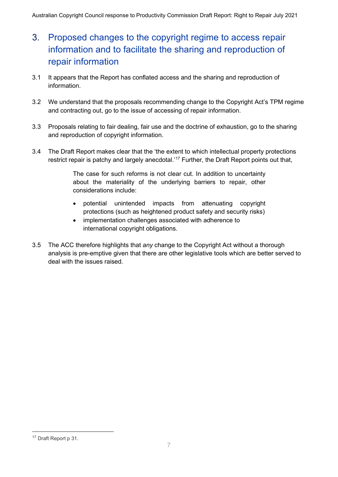# 3. Proposed changes to the copyright regime to access repair information and to facilitate the sharing and reproduction of repair information

- 3.1 It appears that the Report has conflated access and the sharing and reproduction of information.
- 3.2 We understand that the proposals recommending change to the Copyright Act's TPM regime and contracting out, go to the issue of accessing of repair information.
- 3.3 Proposals relating to fair dealing, fair use and the doctrine of exhaustion, go to the sharing and reproduction of copyright information.
- 3.4 The Draft Report makes clear that the 'the extent to which intellectual property protections restrict repair is patchy and largely anecdotal.'<sup>[17](#page-6-0)</sup> Further, the Draft Report points out that,

The case for such reforms is not clear cut. In addition to uncertainty about the materiality of the underlying barriers to repair, other considerations include:

- potential unintended impacts from attenuating copyright protections (such as heightened product safety and security risks)
- implementation challenges associated with adherence to international copyright obligations.
- 3.5 The ACC therefore highlights that *any* change to the Copyright Act without a thorough analysis is pre-emptive given that there are other legislative tools which are better served to deal with the issues raised.

<span id="page-6-0"></span><sup>17</sup> Draft Report p 31.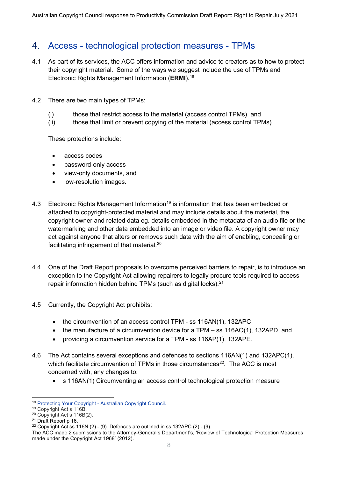### 4. Access - technological protection measures - TPMs

- 4.1 As part of its services, the ACC offers information and advice to creators as to how to protect their copyright material. Some of the ways we suggest include the use of TPMs and Electronic Rights Management Information (**ERMI**).[18](#page-7-0)
- 4.2 There are two main types of TPMs:
	- (i) those that restrict access to the material (access control TPMs), and
	- (ii) those that limit or prevent copying of the material (access control TPMs).

These protections include:

- access codes
- password-only access
- view-only documents, and
- low-resolution images.
- 4.3 Electronic Rights Management Information<sup>19</sup> is information that has been embedded or attached to copyright-protected material and may include details about the material, the copyright owner and related data eg. details embedded in the metadata of an audio file or the watermarking and other data embedded into an image or video file. A copyright owner may act against anyone that alters or removes such data with the aim of enabling, concealing or facilitating infringement of that material. [20](#page-7-2)
- 4.4 One of the Draft Report proposals to overcome perceived barriers to repair, is to introduce an exception to the Copyright Act allowing repairers to legally procure tools required to access repair information hidden behind TPMs (such as digital locks).<sup>21</sup>
- 4.5 Currently, the Copyright Act prohibits:
	- the circumvention of an access control TPM ss 116AN(1), 132APC
	- the manufacture of a circumvention device for a TPM ss 116AO(1), 132APD, and
	- providing a circumvention service for a TPM ss 116AP(1), 132APE.
- 4.6 The Act contains several exceptions and defences to sections 116AN(1) and 132APC(1), which facilitate circumvention of TPMs in those circumstances $^{22}$ . The ACC is most concerned with, any changes to:
	- s 116AN(1) Circumventing an access control technological protection measure

<span id="page-7-0"></span><sup>&</sup>lt;sup>18</sup> Protecting Your Copyright - Australian Copyright Council.<br><sup>19</sup> Copyright Act s 116B.

<span id="page-7-2"></span><span id="page-7-1"></span> $20$  Copyright Act s 116B(2).

<span id="page-7-3"></span><sup>21</sup> Draft Report p 16.

<span id="page-7-4"></span><sup>&</sup>lt;sup>22</sup> Copyright Act ss 116N (2) - (9). Defences are outlined in ss 132APC (2) - (9).

The ACC made 2 submissions to the Attorney-General's Department's, 'Review of Technological Protection Measures made under the Copyright Act 1968' (2012).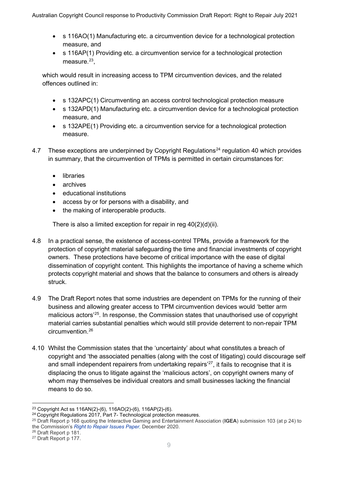- s 116AO(1) Manufacturing etc. a circumvention device for a technological protection measure, and
- s 116AP(1) Providing etc. a circumvention service for a technological protection measure. [23,](#page-8-0)

which would result in increasing access to TPM circumvention devices, and the related offences outlined in:

- s 132APC(1) Circumventing an access control technological protection measure
- s 132APD(1) Manufacturing etc. a circumvention device for a technological protection measure, and
- s 132APE(1) Providing etc. a circumvention service for a technological protection measure.
- 4.7 These exceptions are underpinned by Copyright Regulations<sup>[24](#page-8-1)</sup> regulation 40 which provides in summary, that the circumvention of TPMs is permitted in certain circumstances for:
	- libraries
	- archives
	- educational institutions
	- access by or for persons with a disability, and
	- the making of interoperable products.

There is also a limited exception for repair in reg 40(2)(d)(ii).

- 4.8 In a practical sense, the existence of access-control TPMs, provide a framework for the protection of copyright material safeguarding the time and financial investments of copyright owners. These protections have become of critical importance with the ease of digital dissemination of copyright content. This highlights the importance of having a scheme which protects copyright material and shows that the balance to consumers and others is already struck.
- 4.9 The Draft Report notes that some industries are dependent on TPMs for the running of their business and allowing greater access to TPM circumvention devices would 'better arm malicious actors' [25](#page-8-2). In response, the Commission states that unauthorised use of copyright material carries substantial penalties which would still provide deterrent to non-repair TPM circumvention.[26](#page-8-3)
- 4.10 Whilst the Commission states that the 'uncertainty' about what constitutes a breach of copyright and 'the associated penalties (along with the cost of litigating) could discourage self and small independent repairers from undertaking repairs' [27](#page-8-4), it fails to recognise that it is displacing the onus to litigate against the 'malicious actors', on copyright owners many of whom may themselves be individual creators and small businesses lacking the financial means to do so.

<span id="page-8-0"></span><sup>&</sup>lt;sup>23</sup> Copyright Act ss 116AN(2)-(6), 116AO(2)-(6), 116AP(2)-(6).<br><sup>24</sup> Copyright Regulations 2017, Part 7- Technological protection measures.

<span id="page-8-2"></span><span id="page-8-1"></span><sup>25</sup> Draft Report p 168 quoting the Interactive Gaming and Entertainment Association (**IGEA**) submission 103 (at p 24) to the Commission's *Right to Repair Issues Paper,* December 2020.

<span id="page-8-3"></span><sup>26</sup> Draft Report p 181.

<span id="page-8-4"></span><sup>27</sup> Draft Report p 177.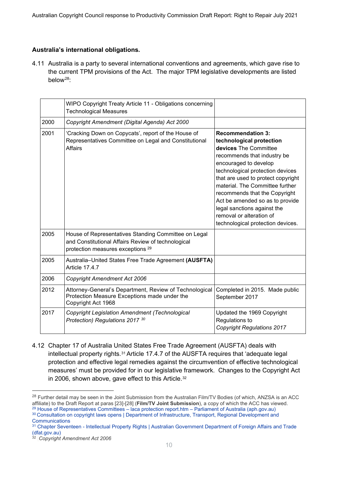#### **Australia's international obligations.**

4.11 Australia is a party to several international conventions and agreements, which gave rise to the current TPM provisions of the Act. The major TPM legislative developments are listed below[28:](#page-9-0)

|      | WIPO Copyright Treaty Article 11 - Obligations concerning<br><b>Technological Measures</b>                                                                 |                                                                                                                                                                                                                                                                                                                                                                                                                        |
|------|------------------------------------------------------------------------------------------------------------------------------------------------------------|------------------------------------------------------------------------------------------------------------------------------------------------------------------------------------------------------------------------------------------------------------------------------------------------------------------------------------------------------------------------------------------------------------------------|
| 2000 | Copyright Amendment (Digital Agenda) Act 2000                                                                                                              |                                                                                                                                                                                                                                                                                                                                                                                                                        |
| 2001 | 'Cracking Down on Copycats', report of the House of<br>Representatives Committee on Legal and Constitutional<br><b>Affairs</b>                             | <b>Recommendation 3:</b><br>technological protection<br>devices The Committee<br>recommends that industry be<br>encouraged to develop<br>technological protection devices<br>that are used to protect copyright<br>material. The Committee further<br>recommends that the Copyright<br>Act be amended so as to provide<br>legal sanctions against the<br>removal or alteration of<br>technological protection devices. |
| 2005 | House of Representatives Standing Committee on Legal<br>and Constitutional Affairs Review of technological<br>protection measures exceptions <sup>29</sup> |                                                                                                                                                                                                                                                                                                                                                                                                                        |
| 2005 | Australia-United States Free Trade Agreement (AUSFTA)<br><b>Article 17.4.7</b>                                                                             |                                                                                                                                                                                                                                                                                                                                                                                                                        |
| 2006 | <b>Copyright Amendment Act 2006</b>                                                                                                                        |                                                                                                                                                                                                                                                                                                                                                                                                                        |
| 2012 | Attorney-General's Department, Review of Technological<br>Protection Measure Exceptions made under the<br>Copyright Act 1968                               | Completed in 2015. Made public<br>September 2017                                                                                                                                                                                                                                                                                                                                                                       |
| 2017 | <b>Copyright Legislation Amendment (Technological</b><br>Protection) Regulations 2017 30                                                                   | Updated the 1969 Copyright<br>Regulations to<br><b>Copyright Regulations 2017</b>                                                                                                                                                                                                                                                                                                                                      |

4.12 Chapter 17 of Australia United States Free Trade Agreement (AUSFTA) deals with intellectual property rights.[31](#page-9-3) Article 17.4.7 of the AUSFTA requires that 'adequate legal protection and effective legal remedies against the circumvention of effective technological measures' must be provided for in our legislative framework. Changes to the Copyright Act in 2006, shown above, gave effect to this Article.<sup>32</sup>

<span id="page-9-0"></span><sup>&</sup>lt;sup>28</sup> Further detail may be seen in the Joint Submission from the Australian Film/TV Bodies (of which, ANZSA is an ACC affiliate) to the Draft Report at paras [23]-[28] (**Film/TV Joint Submission**), a copy of which the ACC has viewed.

<span id="page-9-2"></span><span id="page-9-1"></span><sup>29</sup> House of Representatives Committees – laca protection report.htm – Parliament of Australia (aph.gov.au) 30 Consultation on copyright laws opens | Department of Infrastructure, Transport, Regional Development and **Communications** 

<span id="page-9-3"></span><sup>&</sup>lt;sup>31</sup> Chapter Seventeen - Intellectual Property Rights | Australian Government Department of Foreign Affairs and Trade (dfat.gov.au)

<span id="page-9-4"></span><sup>32</sup> *Copyright Amendment Act 2006*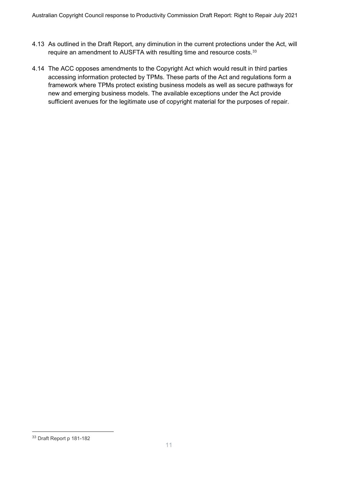- 4.13 As outlined in the Draft Report, any diminution in the current protections under the Act, will require an amendment to AUSFTA with resulting time and resource costs.[33](#page-10-0)
- 4.14 The ACC opposes amendments to the Copyright Act which would result in third parties accessing information protected by TPMs. These parts of the Act and regulations form a framework where TPMs protect existing business models as well as secure pathways for new and emerging business models. The available exceptions under the Act provide sufficient avenues for the legitimate use of copyright material for the purposes of repair.

<span id="page-10-0"></span><sup>33</sup> Draft Report p 181-182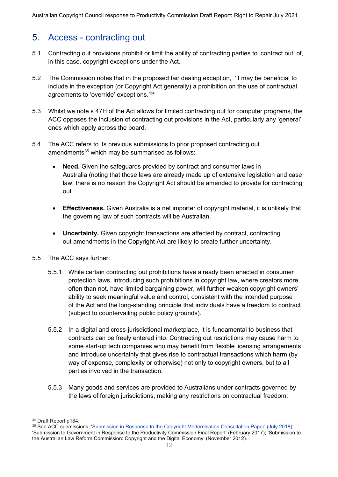### 5. Access - contracting out

- 5.1 Contracting out provisions prohibit or limit the ability of contracting parties to 'contract out' of, in this case, copyright exceptions under the Act.
- 5.2 The Commission notes that in the proposed fair dealing exception, 'it may be beneficial to include in the exception (or Copyright Act generally) a prohibition on the use of contractual agreements to 'override' exceptions.'[34](#page-11-0)
- 5.3 Whilst we note s 47H of the Act allows for limited contracting out for computer programs, the ACC opposes the inclusion of contracting out provisions in the Act, particularly any 'general' ones which apply across the board.
- 5.4 The ACC refers to its previous submissions to prior proposed contracting out amendments $35$  which may be summarised as follows:
	- **Need.** Given the safeguards provided by contract and consumer laws in Australia (noting that those laws are already made up of extensive legislation and case law, there is no reason the Copyright Act should be amended to provide for contracting out.
	- **Effectiveness.** Given Australia is a net importer of copyright material, it is unlikely that the governing law of such contracts will be Australian.
	- **Uncertainty.** Given copyright transactions are affected by contract, contracting out amendments in the Copyright Act are likely to create further uncertainty.
- 5.5 The ACC says further:
	- 5.5.1 While certain contracting out prohibitions have already been enacted in consumer protection laws, introducing such prohibitions in copyright law, where creators more often than not, have limited bargaining power, will further weaken copyright owners' ability to seek meaningful value and control, consistent with the intended purpose of the Act and the long-standing principle that individuals have a freedom to contract (subject to countervailing public policy grounds).
	- 5.5.2 In a digital and cross-jurisdictional marketplace, it is fundamental to business that contracts can be freely entered into. Contracting out restrictions may cause harm to some start-up tech companies who may benefit from flexible licensing arrangements and introduce uncertainty that gives rise to contractual transactions which harm (by way of expense, complexity or otherwise) not only to copyright owners, but to all parties involved in the transaction.
	- 5.5.3 Many goods and services are provided to Australians under contracts governed by the laws of foreign jurisdictions, making any restrictions on contractual freedom:

<span id="page-11-0"></span><sup>34</sup> Draft Report p184.

<span id="page-11-1"></span><sup>35</sup> See ACC submissions: 'Submission in Response to the Copyright Modernisation Consultation Paper' (July 2018); 'Submission to Government in Response to the Productivity Commission Final Report' (February 2017); 'Submission to the Australian Law Reform Commission: Copyright and the Digital Economy' (November 2012).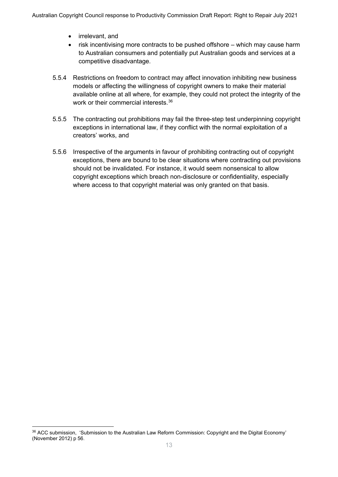- irrelevant, and
- risk incentivising more contracts to be pushed offshore which may cause harm to Australian consumers and potentially put Australian goods and services at a competitive disadvantage.
- 5.5.4 Restrictions on freedom to contract may affect innovation inhibiting new business models or affecting the willingness of copyright owners to make their material available online at all where, for example, they could not protect the integrity of the work or their commercial interests.[36](#page-12-0)
- 5.5.5 The contracting out prohibitions may fail the three-step test underpinning copyright exceptions in international law, if they conflict with the normal exploitation of a creators' works, and
- 5.5.6 Irrespective of the arguments in favour of prohibiting contracting out of copyright exceptions, there are bound to be clear situations where contracting out provisions should not be invalidated. For instance, it would seem nonsensical to allow copyright exceptions which breach non-disclosure or confidentiality, especially where access to that copyright material was only granted on that basis.

<span id="page-12-0"></span><sup>36</sup> ACC submission, 'Submission to the Australian Law Reform Commission: Copyright and the Digital Economy' (November 2012) p 56.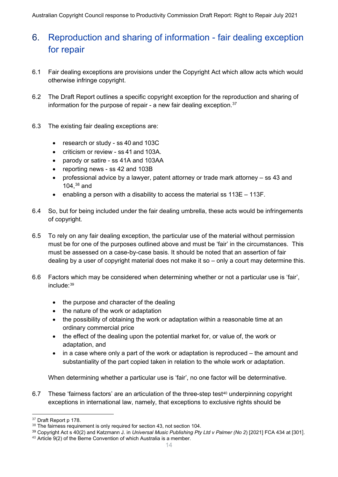### 6. Reproduction and sharing of information - fair dealing exception for repair

- 6.1 Fair dealing exceptions are provisions under the Copyright Act which allow acts which would otherwise infringe copyright.
- 6.2 The Draft Report outlines a specific copyright exception for the reproduction and sharing of information for the purpose of repair - a new fair dealing exception.  $37$
- 6.3 The existing fair dealing exceptions are:
	- research or study ss 40 and 103C
	- criticism or review ss 41 and 103A.
	- parody or satire ss 41A and 103AA
	- reporting news ss 42 and 103B
	- professional advice by a lawyer, patent attorney or trade mark attorney ss 43 and 104, [38](#page-13-1) and
	- enabling a person with a disability to access the material ss 113E 113F.
- 6.4 So, but for being included under the fair dealing umbrella, these acts would be infringements of copyright.
- 6.5 To rely on any fair dealing exception, the particular use of the material without permission must be for one of the purposes outlined above and must be 'fair' in the circumstances. This must be assessed on a case-by-case basis. It should be noted that an assertion of fair dealing by a user of copyright material does not make it so – only a court may determine this.
- 6.6 Factors which may be considered when determining whether or not a particular use is 'fair', include:[39](#page-13-2)
	- the purpose and character of the dealing
	- the nature of the work or adaptation
	- the possibility of obtaining the work or adaptation within a reasonable time at an ordinary commercial price
	- the effect of the dealing upon the potential market for, or value of, the work or adaptation, and
	- in a case where only a part of the work or adaptation is reproduced the amount and substantiality of the part copied taken in relation to the whole work or adaptation.

When determining whether a particular use is 'fair', no one factor will be determinative.

6.7 These 'fairness factors' are an articulation of the three-step test[40](#page-13-3) underpinning copyright exceptions in international law, namely, that exceptions to exclusive rights should be

<span id="page-13-0"></span><sup>&</sup>lt;sup>37</sup> Draft Report p 178.

<span id="page-13-1"></span><sup>&</sup>lt;sup>38</sup> The fairness requirement is only required for section 43, not section 104.

<span id="page-13-3"></span><span id="page-13-2"></span><sup>&</sup>lt;sup>39</sup> Copyright Act s 40(2) and Katzmann J. in *Universal Music Publishing Pty Ltd v Palmer (No 2*) [2021] FCA 434 at [301].<br><sup>40</sup> Article 9(2) of the Berne Convention of which Australia is a member.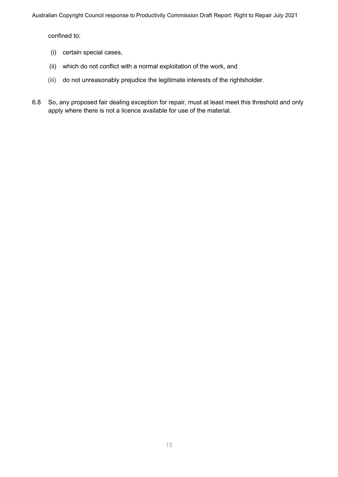confined to:

- (i) certain special cases,
- (ii) which do not conflict with a normal exploitation of the work, and
- (iii) do not unreasonably prejudice the legitimate interests of the rightsholder.
- 6.8 So, any proposed fair dealing exception for repair, must at least meet this threshold and only apply where there is not a licence available for use of the material.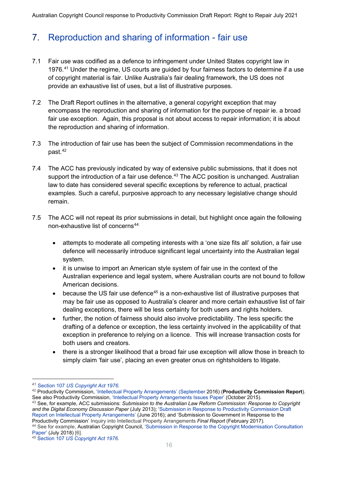## 7. Reproduction and sharing of information - fair use

- 7.1 Fair use was codified as a defence to infringement under United States copyright law in 1976. [41](#page-15-0) Under the regime, US courts are guided by four fairness factors to determine if a use of copyright material is fair. Unlike Australia's fair dealing framework, the US does not provide an exhaustive list of uses, but a list of illustrative purposes.
- 7.2 The Draft Report outlines in the alternative, a general copyright exception that may encompass the reproduction and sharing of information for the purpose of repair ie. a broad fair use exception. Again, this proposal is not about access to repair information; it is about the reproduction and sharing of information.
- 7.3 The introduction of fair use has been the subject of Commission recommendations in the past.[42](#page-15-1)
- 7.4 The ACC has previously indicated by way of extensive public submissions, that it does not support the introduction of a fair use defence.<sup>[43](#page-15-2)</sup> The ACC position is unchanged. Australian law to date has considered several specific exceptions by reference to actual, practical examples. Such a careful, purposive approach to any necessary legislative change should remain.
- 7.5 The ACC will not repeat its prior submissions in detail, but highlight once again the following non-exhaustive list of concerns<sup>44:</sup>
	- attempts to moderate all competing interests with a 'one size fits all' solution, a fair use defence will necessarily introduce significant legal uncertainty into the Australian legal system.
	- it is unwise to import an American style system of fair use in the context of the Australian experience and legal system, where Australian courts are not bound to follow American decisions.
	- $\bullet$  because the US fair use defence<sup>[45](#page-15-4)</sup> is a non-exhaustive list of illustrative purposes that may be fair use as opposed to Australia's clearer and more certain exhaustive list of fair dealing exceptions, there will be less certainty for both users and rights holders.
	- further, the notion of fairness should also involve predictability. The less specific the drafting of a defence or exception, the less certainty involved in the applicability of that exception in preference to relying on a licence. This will increase transaction costs for both users and creators.
	- there is a stronger likelihood that a broad fair use exception will allow those in breach to simply claim 'fair use', placing an even greater onus on rightsholders to litigate.

<span id="page-15-0"></span><sup>41</sup> Section 107 *US Copyright Act 1976.*

<span id="page-15-1"></span><sup>42</sup> Productivity Commission, 'Intellectual Property Arrangements' (September 2016) (**Productivity Commission Report**). See also Productivity Commission, 'Intellectual Property Arrangements Issues Paper' (October 2015).

<span id="page-15-2"></span><sup>43</sup> See, for example, ACC submissions: *Submission to the Australian Law Reform Commission: Response to Copyright and the Digital Economy Discussion Paper* (July 2013); 'Submission in Response to Productivity Commission Draft Report on Intellectual Property Arrangements' (June 2016); and 'Submission to Government in Response to the Productivity Commission' Inquiry into Intellectual Property Arrangements *Final Report* (February 2017).

<span id="page-15-3"></span><sup>44</sup> See for example, Australian Copyright Council, 'Submission in Response to the Copyright Modernisation Consultation Paper' (July 2018) [6].

<span id="page-15-4"></span><sup>45</sup> Section 107 *US Copyright Act 1976.*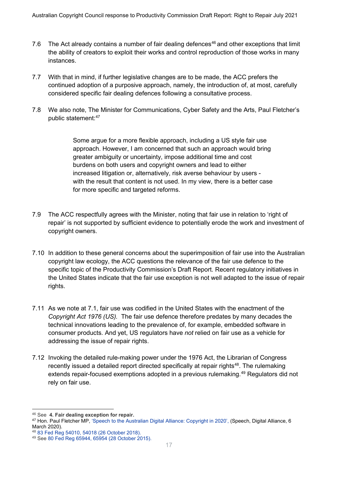- 7.6 The Act already contains a number of fair dealing defences<sup>[46](#page-16-0)</sup> and other exceptions that limit the ability of creators to exploit their works and control reproduction of those works in many instances.
- 7.7 With that in mind, if further legislative changes are to be made, the ACC prefers the continued adoption of a purposive approach, namely, the introduction of, at most, carefully considered specific fair dealing defences following a consultative process.
- 7.8 We also note, The Minister for Communications, Cyber Safety and the Arts, Paul Fletcher's public statement: [47](#page-16-1)

Some argue for a more flexible approach, including a US style fair use approach. However, I am concerned that such an approach would bring greater ambiguity or uncertainty, impose additional time and cost burdens on both users and copyright owners and lead to either increased litigation or, alternatively, risk averse behaviour by users with the result that content is not used. In my view, there is a better case for more specific and targeted reforms.

- 7.9 The ACC respectfully agrees with the Minister, noting that fair use in relation to 'right of repair' is not supported by sufficient evidence to potentially erode the work and investment of copyright owners.
- 7.10 In addition to these general concerns about the superimposition of fair use into the Australian copyright law ecology, the ACC questions the relevance of the fair use defence to the specific topic of the Productivity Commission's Draft Report. Recent regulatory initiatives in the United States indicate that the fair use exception is not well adapted to the issue of repair rights.
- 7.11 As we note at 7.1, fair use was codified in the United States with the enactment of the *Copyright Act 1976 (US).* The fair use defence therefore predates by many decades the technical innovations leading to the prevalence of, for example, embedded software in consumer products. And yet, US regulators have *not* relied on fair use as a vehicle for addressing the issue of repair rights.
- 7.12 Invoking the detailed rule-making power under the 1976 Act, the Librarian of Congress recently issued a detailed report directed specifically at repair rights<sup>48</sup>. The rulemaking extends repair-focused exemptions adopted in a previous rulemaking.<sup>[49](#page-16-3)</sup> Regulators did not rely on fair use.

<span id="page-16-0"></span><sup>46</sup> See **4. Fair dealing exception for repair.**

<span id="page-16-1"></span><sup>47</sup> Hon. Paul Fletcher MP, 'Speech to the Australian Digital Alliance: Copyright in 2020', (Speech, Digital Alliance, 6<br>March 2020).

<span id="page-16-2"></span><sup>48 83</sup> Fed Reg 54010, 54018 (26 October 2018).

<span id="page-16-3"></span><sup>49</sup> See 80 Fed Reg 65944, 65954 (28 October 2015).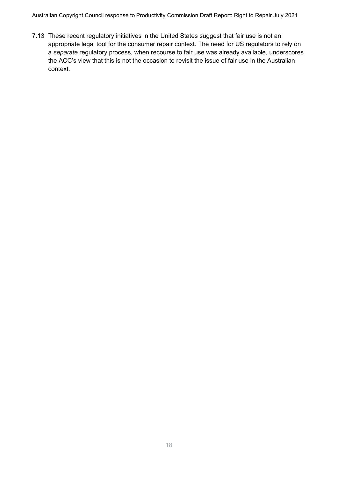Australian Copyright Council response to Productivity Commission Draft Report: Right to Repair July 2021

7.13 These recent regulatory initiatives in the United States suggest that fair use is not an appropriate legal tool for the consumer repair context. The need for US regulators to rely on a *separate* regulatory process, when recourse to fair use was already available, underscores the ACC's view that this is not the occasion to revisit the issue of fair use in the Australian context.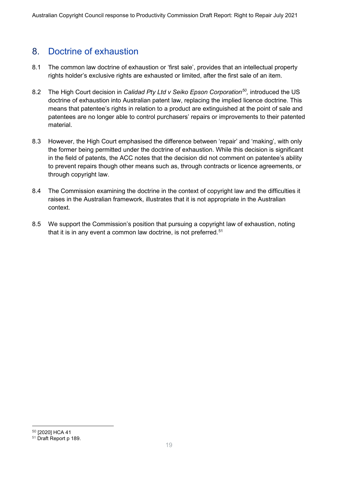### 8. Doctrine of exhaustion

- 8.1 The common law doctrine of exhaustion or 'first sale', provides that an intellectual property rights holder's exclusive rights are exhausted or limited, after the first sale of an item.
- 8.2 The High Court decision in *Calidad Pty Ltd v Seiko Epson Corporation[50](#page-18-0),* introduced the US doctrine of exhaustion into Australian patent law, replacing the implied licence doctrine. This means that patentee's rights in relation to a product are extinguished at the point of sale and patentees are no longer able to control purchasers' repairs or improvements to their patented material.
- 8.3 However, the High Court emphasised the difference between 'repair' and 'making', with only the former being permitted under the doctrine of exhaustion. While this decision is significant in the field of patents, the ACC notes that the decision did not comment on patentee's ability to prevent repairs though other means such as, through contracts or licence agreements, or through copyright law.
- 8.4 The Commission examining the doctrine in the context of copyright law and the difficulties it raises in the Australian framework, illustrates that it is not appropriate in the Australian context.
- 8.5 We support the Commission's position that pursuing a copyright law of exhaustion, noting that it is in any event a common law doctrine, is not preferred. $51$

<span id="page-18-0"></span><sup>50</sup> [2020] HCA 41

<span id="page-18-1"></span><sup>51</sup> Draft Report p 189.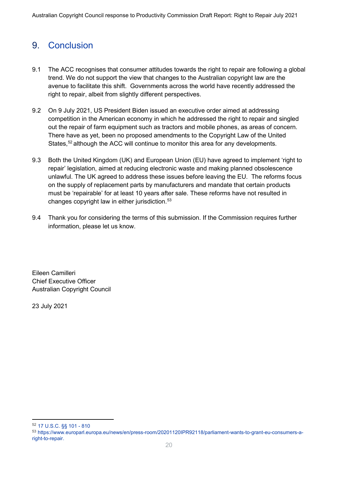# 9. Conclusion

- 9.1 The ACC recognises that consumer attitudes towards the right to repair are following a global trend. We do not support the view that changes to the Australian copyright law are the avenue to facilitate this shift. Governments across the world have recently addressed the right to repair, albeit from slightly different perspectives.
- 9.2 On 9 July 2021, US President Biden issued an executive order aimed at addressing competition in the American economy in which he addressed the right to repair and singled out the repair of farm equipment such as tractors and mobile phones, as areas of concern. There have as yet, been no proposed amendments to the Copyright Law of the United States,  $52$  although the ACC will continue to monitor this area for any developments.
- 9.3 Both the United Kingdom (UK) and European Union (EU) have agreed to implement 'right to repair' legislation, aimed at reducing electronic waste and making planned obsolescence unlawful. The UK agreed to address these issues before leaving the EU. The reforms focus on the supply of replacement parts by manufacturers and mandate that certain products must be 'repairable' for at least 10 years after sale. These reforms have not resulted in changes copyright law in either jurisdiction.<sup>[53](#page-19-1)</sup>
- 9.4 Thank you for considering the terms of this submission. If the Commission requires further information, please let us know.

Eileen Camilleri Chief Executive Officer Australian Copyright Council

23 July 2021

<span id="page-19-0"></span><sup>52</sup> 17 U.S.C. §§ 101 - 810

<span id="page-19-1"></span><sup>53</sup> https://www.europarl.europa.eu/news/en/press-room/20201120IPR92118/parliament-wants-to-grant-eu-consumers-aright-to-repair.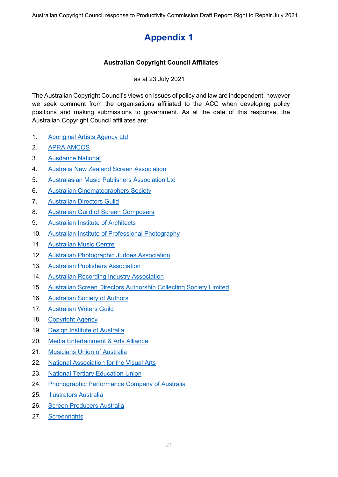# **Appendix 1**

#### **Australian Copyright Council Affiliates**

as at 23 July 2021

The Australian Copyright Council's views on issues of policy and law are independent, however we seek comment from the organisations affiliated to the ACC when developing policy positions and making submissions to government. As at the date of this response, the Australian Copyright Council affiliates are:

- 1. Aboriginal Artists Agency Ltd
- 2. APRA|AMCOS
- 3. Ausdance National
- 4. Australia New Zealand Screen Association
- 5. Australasian Music Publishers Association Ltd
- 6. Australian Cinematographers Society
- 7. Australian Directors Guild
- 8. Australian Guild of Screen Composers
- 9. Australian Institute of Architects
- 10. Australian Institute of Professional Photography
- 11. Australian Music Centre
- 12. Australian Photographic Judges Association
- 13. Australian Publishers Association
- 14. Australian Recording Industry Association
- 15. Australian Screen Directors Authorship Collecting Society Limited
- 16. Australian Society of Authors
- 17. Australian Writers Guild
- 18. Copyright Agency
- 19. Design Institute of Australia
- 20. Media Entertainment & Arts Alliance
- 21. Musicians Union of Australia
- 22. National Association for the Visual Arts
- 23. National Tertiary Education Union
- 24. Phonographic Performance Company of Australia
- 25. Illustrators Australia
- 26. Screen Producers Australia
- 27. Screenrights